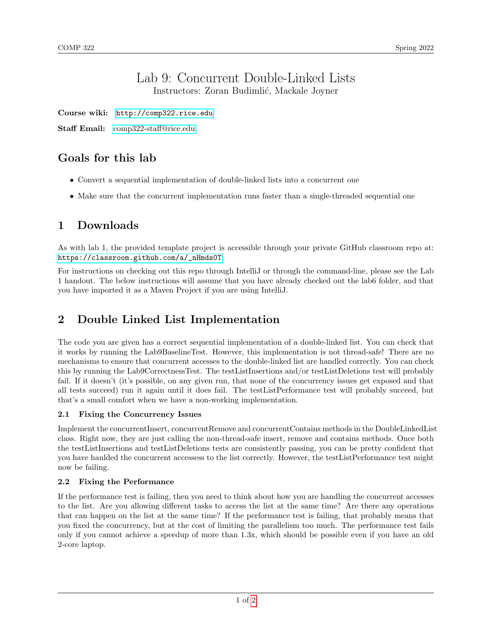#### Lab 9: Concurrent Double-Linked Lists Instructors: Zoran Budimlić, Mackale Joyner

Course wiki: <http://comp322.rice.edu>

Staff Email: [comp322-staff@rice.edu](mailto:comp322-staff@rice.edu)

# Goals for this lab

- Convert a sequential implementation of double-linked lists into a concurrent one
- Make sure that the concurrent implementation runs faster than a single-threaded sequential one

# 1 Downloads

As with lab 1, the provided template project is accessible through your private GitHub classroom repo at: [https://classroom.github.com/a/\\_nHmds0T](https://classroom.github.com/a/_nHmds0T)

For instructions on checking out this repo through IntelliJ or through the command-line, please see the Lab 1 handout. The below instructions will assume that you have already checked out the lab6 folder, and that you have imported it as a Maven Project if you are using IntelliJ.

# 2 Double Linked List Implementation

The code you are given has a correct sequential implementation of a double-linked list. You can check that it works by running the Lab9BaselineTest. However, this implementation is not thread-safe! There are no mechanisms to ensure that concurrent accesses to the double-linked list are handled correctly. You can check this by running the Lab9CorrectnessTest. The testListInsertions and/or testListDeletions test will probably fail. If it doesn't (it's possible, on any given run, that none of the concurrency issues get exposed and that all tests succeed) run it again until it does fail. The testListPerformance test will probably succeed, but that's a small comfort when we have a non-working implementation.

#### 2.1 Fixing the Concurrency Issues

Implement the concurrentInsert, concurrentRemove and concurrentContains methods in the DoubleLinkedList class. Right now, they are just calling the non-thread-safe insert, remove and contains methods. Once both the testListInsertions and testListDeletions tests are consistently passing, you can be pretty confident that you have hanlded the concurrent accessess to the list correctly. However, the testListPerformance test might now be failing.

#### 2.2 Fixing the Performance

If the performance test is failing, then you need to think about how you are handling the concurrent accesses to the list. Are you allowing different tasks to access the list at the same time? Are there any operations that can happen on the list at the same time? If the performance test is failing, that probably means that you fixed the concurrency, but at the cost of limiting the parallelism too much. The performance test fails only if you cannot achieve a speedup of more than 1.3x, which should be possible even if you have an old 2-core laptop.